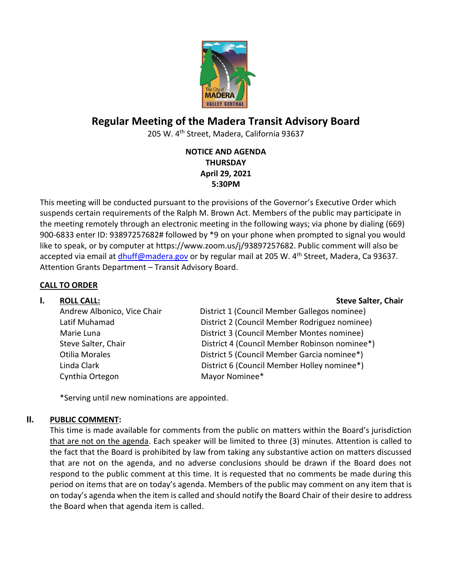

# **Regular Meeting of the Madera Transit Advisory Board**

205 W. 4<sup>th</sup> Street, Madera, California 93637

# **NOTICE AND AGENDA THURSDAY April 29, 2021 5:30PM**

This meeting will be conducted pursuant to the provisions of the Governor's Executive Order which suspends certain requirements of the Ralph M. Brown Act. Members of the public may participate in the meeting remotely through an electronic meeting in the following ways; via phone by dialing (669) 900-6833 enter ID: 93897257682# followed by \*9 on your phone when prompted to signal you would like to speak, or by computer at https://www.zoom.us/j/93897257682. Public comment will also be accepted via email at [dhuff@madera.gov](mailto:dhuff@madera.gov) or by regular mail at 205 W. 4<sup>th</sup> Street, Madera, Ca 93637. Attention Grants Department – Transit Advisory Board.

### **CALL TO ORDER**

| I. | <b>ROLL CALL:</b>           | <b>Steve Salter, Chair</b>                    |  |
|----|-----------------------------|-----------------------------------------------|--|
|    | Andrew Albonico, Vice Chair | District 1 (Council Member Gallegos nominee)  |  |
|    | Latif Muhamad               | District 2 (Council Member Rodriguez nominee) |  |
|    | Marie Luna                  | District 3 (Council Member Montes nominee)    |  |
|    | Steve Salter, Chair         | District 4 (Council Member Robinson nominee*) |  |
|    | <b>Otilia Morales</b>       | District 5 (Council Member Garcia nominee*)   |  |
|    | Linda Clark                 | District 6 (Council Member Holley nominee*)   |  |
|    | Cynthia Ortegon             | Mayor Nominee*                                |  |
|    |                             |                                               |  |

\*Serving until new nominations are appointed.

#### **II. PUBLIC COMMENT:**

This time is made available for comments from the public on matters within the Board's jurisdiction that are not on the agenda. Each speaker will be limited to three (3) minutes. Attention is called to the fact that the Board is prohibited by law from taking any substantive action on matters discussed that are not on the agenda, and no adverse conclusions should be drawn if the Board does not respond to the public comment at this time. It is requested that no comments be made during this period on items that are on today's agenda. Members of the public may comment on any item that is on today's agenda when the item is called and should notify the Board Chair of their desire to address the Board when that agenda item is called.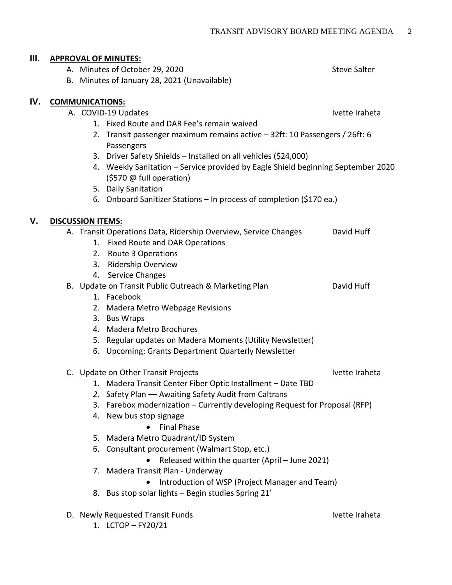#### **III. APPROVAL OF MINUTES:**

- A. Minutes of October 29, 2020 Steve Salter School Steve Salter
- B. Minutes of January 28, 2021 (Unavailable)

#### **IV. COMMUNICATIONS:**

- A. COVID-19 Updates IVette Iraheta
	- 1. Fixed Route and DAR Fee's remain waived
	- 2. Transit passenger maximum remains active 32ft: 10 Passengers / 26ft: 6 Passengers
	- 3. Driver Safety Shields Installed on all vehicles (\$24,000)
	- 4. Weekly Sanitation Service provided by Eagle Shield beginning September 2020 (\$570 @ full operation)
	- 5. Daily Sanitation
	- 6. Onboard Sanitizer Stations In process of completion (\$170 ea.)

# **V. DISCUSSION ITEMS:**

- A. Transit Operations Data, Ridership Overview, Service Changes David Huff
	- 1. Fixed Route and DAR Operations
	- 2. Route 3 Operations
	- 3. Ridership Overview
	- 4. Service Changes

# B. Update on Transit Public Outreach & Marketing Plan David Huff

- 1. Facebook
- 2. Madera Metro Webpage Revisions
- 3. Bus Wraps
- 4. Madera Metro Brochures
- 5. Regular updates on Madera Moments (Utility Newsletter)
- 6. Upcoming: Grants Department Quarterly Newsletter
- C. Update on Other Transit Projects Ivette Iraheta
- - 1. Madera Transit Center Fiber Optic Installment Date TBD
	- *2.* Safety Plan –– Awaiting Safety Audit from Caltrans
	- 3. Farebox modernization Currently developing Request for Proposal (RFP)
	- 4. New bus stop signage
		- Final Phase
	- 5. Madera Metro Quadrant/ID System
	- 6. Consultant procurement (Walmart Stop, etc.)
		- Released within the quarter (April June 2021)
	- 7. Madera Transit Plan Underway
		- Introduction of WSP (Project Manager and Team)
	- 8. Bus stop solar lights Begin studies Spring 21'
- D. Newly Requested Transit Funds Iversity Controller and International Ivette Iraheta
	-

1. LCTOP – FY20/21